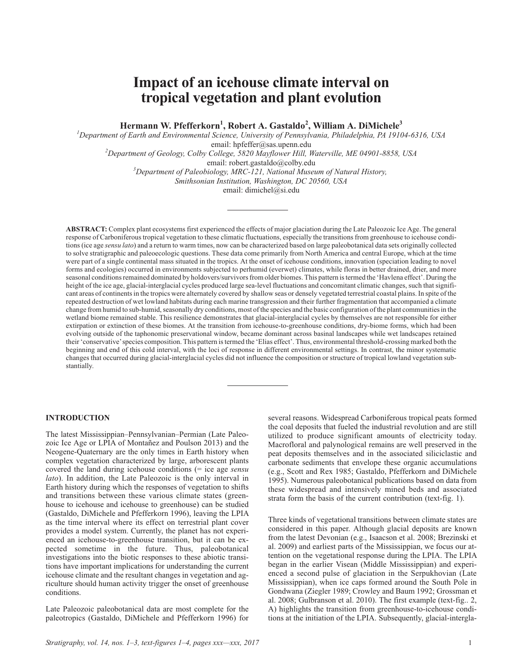# **Impact of an icehouse climate interval on tropical vegetation and plant evolution**

**Hermann W. Pfefferkorn<sup>1</sup> , Robert A. Gastaldo<sup>2</sup> , William A. DiMichele<sup>3</sup>**

*1 Department of Earth and Environmental Science, University of Pennsylvania, Philadelphia, PA 19104-6316, USA*

email: hpfeffer@sas.upenn.edu *<sup>2</sup> Department of Geology, Colby College, 5820 Mayflower Hill, Waterville, ME 04901-8858, USA*

email: robert.gastaldo@colby.edu *<sup>3</sup> Department of Paleobiology, MRC-121, National Museum of Natural History,*

*Smithsonian Institution, Washington, DC 20560, USA*

email: dimichel@si.edu

**ABSTRACT:** Complex plant ecosystems first experienced the effects of major glaciation during the Late Paleozoic Ice Age. The general response of Carboniferous tropical vegetation to these climatic fluctuations, especially the transitions from greenhouse to icehouse conditions (ice age *sensu lato*) and a return to warm times, now can be characterized based on large paleobotanical data sets originally collected to solve stratigraphic and paleoecologic questions. These data come primarily from North America and central Europe, which at the time were part of a single continental mass situated in the tropics. At the onset of icehouse conditions, innovation (speciation leading to novel forms and ecologies) occurred in environments subjected to perhumid (everwet) climates, while floras in better drained, drier, and more seasonal conditions remained dominated by holdovers/survivors from older biomes. This pattern is termed the 'Havlena effect'. During the height of the ice age, glacial-interglacial cycles produced large sea-level fluctuations and concomitant climatic changes, such that significant areas of continents in the tropics were alternately covered by shallow seas or densely vegetated terrestrial coastal plains. In spite of the repeated destruction of wet lowland habitats during each marine transgression and their further fragmentation that accompanied a climate change from humid to sub-humid, seasonally dry conditions, most of the species and the basic configuration of the plant communities in the wetland biome remained stable. This resilience demonstrates that glacial-interglacial cycles by themselves are not responsible for either extirpation or extinction of these biomes. At the transition from icehouse-to-greenhouse conditions, dry-biome forms, which had been evolving outside of the taphonomic preservational window, became dominant across basinal landscapes while wet landscapes retained their 'conservative'species composition. This pattern is termed the 'Elias effect'. Thus, environmental threshold-crossing marked both the beginning and end of this cold interval, with the loci of response in different environmental settings. In contrast, the minor systematic changes that occurred during glacial-interglacial cycles did not influence the composition or structure of tropical lowland vegetation substantially.

# **INTRODUCTION**

The latest Mississippian–Pennsylvanian–Permian (Late Paleozoic Ice Age or LPIA of Montañez and Poulson 2013) and the Neogene-Quaternary are the only times in Earth history when complex vegetation characterized by large, arborescent plants covered the land during icehouse conditions (= ice age *sensu lato*). In addition, the Late Paleozoic is the only interval in Earth history during which the responses of vegetation to shifts and transitions between these various climate states (greenhouse to icehouse and icehouse to greenhouse) can be studied (Gastaldo, DiMichele and Pfefferkorn 1996), leaving the LPIA as the time interval where its effect on terrestrial plant cover provides a model system. Currently, the planet has not experienced an icehouse-to-greenhouse transition, but it can be expected sometime in the future. Thus, paleobotanical investigations into the biotic responses to these abiotic transitions have important implications for understanding the current icehouse climate and the resultant changes in vegetation and agriculture should human activity trigger the onset of greenhouse conditions.

Late Paleozoic paleobotanical data are most complete for the paleotropics (Gastaldo, DiMichele and Pfefferkorn 1996) for

several reasons. Widespread Carboniferous tropical peats formed the coal deposits that fueled the industrial revolution and are still utilized to produce significant amounts of electricity today. Macrofloral and palynological remains are well preserved in the peat deposits themselves and in the associated siliciclastic and carbonate sediments that envelope these organic accumulations (e.g., Scott and Rex 1985; Gastaldo, Pfefferkorn and DiMichele 1995). Numerous paleobotanical publications based on data from these widespread and intensively mined beds and associated strata form the basis of the current contribution (text-fig. 1).

Three kinds of vegetational transitions between climate states are considered in this paper. Although glacial deposits are known from the latest Devonian (e.g., Isaacson et al. 2008; Brezinski et al. 2009) and earliest parts of the Mississippian, we focus our attention on the vegetational response during the LPIA. The LPIA began in the earlier Visean (Middle Mississippian) and experienced a second pulse of glaciation in the Serpukhovian (Late Mississippian), when ice caps formed around the South Pole in Gondwana (Ziegler 1989; Crowley and Baum 1992; Grossman et al. 2008; Gulbranson et al. 2010). The first example (text-fig.. 2, A) highlights the transition from greenhouse-to-icehouse conditions at the initiation of the LPIA. Subsequently, glacial-intergla-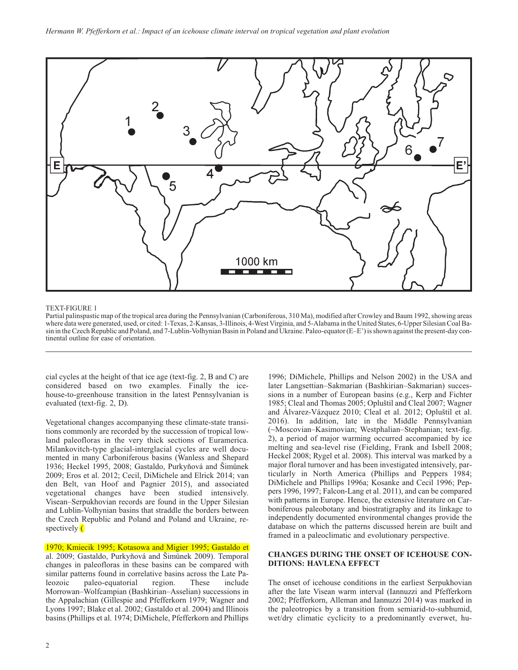

#### TEXT-FIGURE 1

Partial palinspastic map of the tropical area during the Pennsylvanian (Carboniferous, 310 Ma), modified after Crowley and Baum 1992, showing areas where data were generated, used, or cited: 1-Texas, 2-Kansas, 3-Illinois, 4-West Virginia, and 5-Alabama in the United States, 6-Upper Silesian Coal Basin in the Czech Republic and Poland, and 7-Lublin-Volhynian Basin in Poland and Ukraine. Paleo-equator (E–E') is shown against the present-day continental outline for ease of orientation.

cial cycles at the height of that ice age (text-fig. 2, B and C) are considered based on two examples. Finally the icehouse-to-greenhouse transition in the latest Pennsylvanian is evaluated (text-fig. 2, D).

Vegetational changes accompanying these climate-state transitions commonly are recorded by the succession of tropical lowland paleofloras in the very thick sections of Euramerica. Milankovitch-type glacial-interglacial cycles are well documented in many Carboniferous basins (Wanless and Shepard 1936; Heckel 1995, 2008; Gastaldo, Purkyňová and Šimůnek 2009; Eros et al. 2012; Cecil, DiMichele and Elrick 2014; van den Belt, van Hoof and Pagnier 2015), and associated vegetational changes have been studied intensively. Visean–Serpukhovian records are found in the Upper Silesian and Lublin-Volhynian basins that straddle the borders between the Czech Republic and Poland and Poland and Ukraine, respectively $\left($ 

1970; Kmiecik 1995; Kotasowa and Migier 1995; Gastaldo et al. 2009; Gastaldo, Purkyňová and Šimůnek 2009). Temporal changes in paleofloras in these basins can be compared with similar patterns found in correlative basins across the Late Paleozoic paleo-equatorial region. These include Morrowan–Wolfcampian (Bashkirian–Asselian) successions in the Appalachian (Gillespie and Pfefferkorn 1979; Wagner and Lyons 1997; Blake et al. 2002; Gastaldo et al. 2004) and Illinois basins (Phillips et al. 1974; DiMichele, Pfefferkorn and Phillips

1996; DiMichele, Phillips and Nelson 2002) in the USA and later Langsettian–Sakmarian (Bashkirian–Sakmarian) successions in a number of European basins (e.g., Kerp and Fichter 1985; Cleal and Thomas 2005; Opluštil and Cleal 2007; Wagner and Álvarez-Vázquez 2010; Cleal et al. 2012; Opluštil et al. 2016). In addition, late in the Middle Pennsylvanian (~Moscovian–Kasimovian; Westphalian–Stephanian; text-fig. 2), a period of major warming occurred accompanied by ice melting and sea-level rise (Fielding, Frank and Isbell 2008; Heckel 2008; Rygel et al. 2008). This interval was marked by a major floral turnover and has been investigated intensively, particularly in North America (Phillips and Peppers 1984; DiMichele and Phillips 1996a; Kosanke and Cecil 1996; Peppers 1996, 1997; Falcon-Lang et al. 2011), and can be compared with patterns in Europe. Hence, the extensive literature on Carboniferous paleobotany and biostratigraphy and its linkage to independently documented environmental changes provide the database on which the patterns discussed herein are built and framed in a paleoclimatic and evolutionary perspective.

# **CHANGES DURING THE ONSET OF ICEHOUSE CON-DITIONS: HAVLENA EFFECT**

The onset of icehouse conditions in the earliest Serpukhovian after the late Visean warm interval (Iannuzzi and Pfefferkorn 2002; Pfefferkorn, Alleman and Iannuzzi 2014) was marked in the paleotropics by a transition from semiarid-to-subhumid, wet/dry climatic cyclicity to a predominantly everwet, hu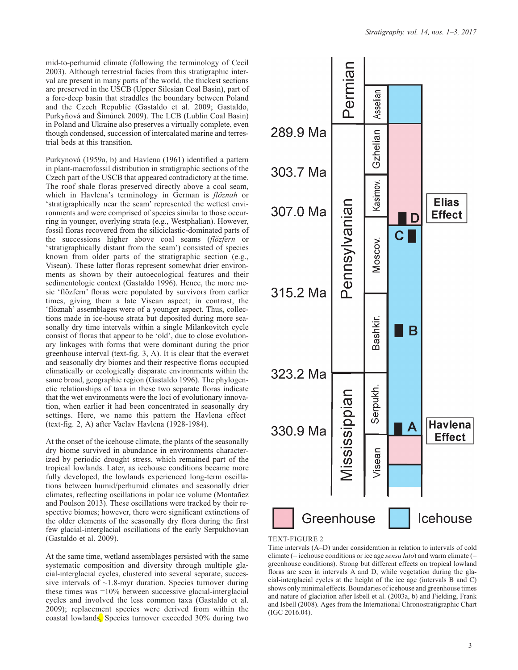mid-to-perhumid climate (following the terminology of Cecil 2003). Although terrestrial facies from this stratigraphic interval are present in many parts of the world, the thickest sections are preserved in the USCB (Upper Silesian Coal Basin), part of a fore-deep basin that straddles the boundary between Poland and the Czech Republic (Gastaldo et al. 2009; Gastaldo, Purkyňová and Šimůnek 2009). The LCB (Lublin Coal Basin) in Poland and Ukraine also preserves a virtually complete, even though condensed, succession of intercalated marine and terrestrial beds at this transition.

Purkynová (1959a, b) and Havlena (1961) identified a pattern in plant-macrofossil distribution in stratigraphic sections of the Czech part of the USCB that appeared contradictory at the time. The roof shale floras preserved directly above a coal seam, which in Havlena's terminology in German is *flöznah* or 'stratigraphically near the seam' represented the wettest environments and were comprised of species similar to those occurring in younger, overlying strata (e.g., Westphalian). However, fossil floras recovered from the siliciclastic-dominated parts of the successions higher above coal seams (*flözfern* or 'stratigraphically distant from the seam') consisted of species known from older parts of the stratigraphic section (e.g., Visean). These latter floras represent somewhat drier environments as shown by their autoecological features and their sedimentologic context (Gastaldo 1996). Hence, the more mesic 'flözfern' floras were populated by survivors from earlier times, giving them a late Visean aspect; in contrast, the 'flöznah' assemblages were of a younger aspect. Thus, collections made in ice-house strata but deposited during more seasonally dry time intervals within a single Milankovitch cycle consist of floras that appear to be 'old', due to close evolutionary linkages with forms that were dominant during the prior greenhouse interval (text-fig. 3, A). It is clear that the everwet and seasonally dry biomes and their respective floras occupied climatically or ecologically disparate environments within the same broad, geographic region (Gastaldo 1996). The phylogenetic relationships of taxa in these two separate floras indicate that the wet environments were the loci of evolutionary innovation, when earlier it had been concentrated in seasonally dry settings. Here, we name this pattern the Havlena effect (text-fig. 2, A) after Vaclav Havlena (1928-1984).

At the onset of the icehouse climate, the plants of the seasonally dry biome survived in abundance in environments characterized by periodic drought stress, which remained part of the tropical lowlands. Later, as icehouse conditions became more fully developed, the lowlands experienced long-term oscillations between humid/perhumid climates and seasonally drier climates, reflecting oscillations in polar ice volume (Montañez and Poulson 2013). These oscillations were tracked by their respective biomes; however, there were significant extinctions of the older elements of the seasonally dry flora during the first few glacial-interglacial oscillations of the early Serpukhovian (Gastaldo et al. 2009).

At the same time, wetland assemblages persisted with the same systematic composition and diversity through multiple glacial-interglacial cycles, clustered into several separate, successive intervals of  $\sim$ 1.8-myr duration. Species turnover during these times was =10% between successive glacial-interglacial cycles and involved the less common taxa (Gastaldo et al. 2009); replacement species were derived from within the coastal lowlands, Species turnover exceeded 30% during two



### TEXT-FIGURE 2

Time intervals (A–D) under consideration in relation to intervals of cold climate (= icehouse conditions or ice age *sensu lato*) and warm climate (= greenhouse conditions). Strong but different effects on tropical lowland floras are seen in intervals A and D, while vegetation during the glacial-interglacial cycles at the height of the ice age (intervals B and C) shows only minimal effects. Boundaries of icehouse and greenhouse times and nature of glaciation after Isbell et al. (2003a, b) and Fielding, Frank and Isbell (2008). Ages from the International Chronostratigraphic Chart (IGC 2016.04).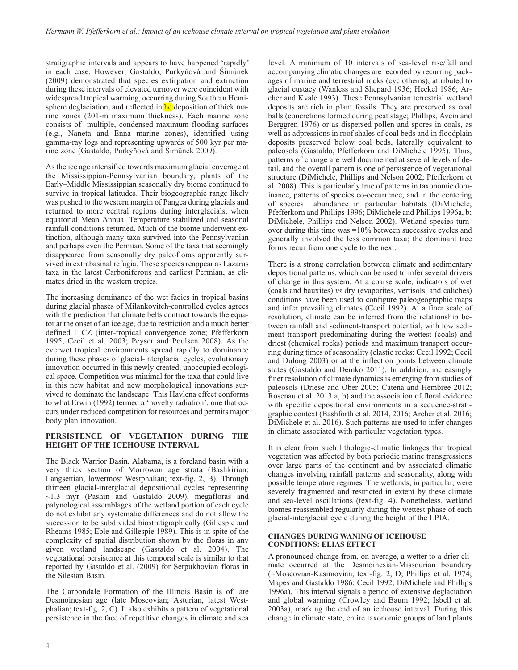stratigraphic intervals and appears to have happened 'rapidly' in each case. However, Gastaldo, Purkyňová and Šimůnek (2009) demonstrated that species extirpation and extinction during these intervals of elevated turnover were coincident with widespread tropical warming, occurring during Southern Hemisphere deglaciation, and reflected in he deposition of thick marine zones (201-m maximum thickness). Each marine zone consists of multiple, condensed maximum flooding surfaces (e.g., Naneta and Enna marine zones), identified using gamma-ray logs and representing upwards of 500 kyr per marine zone (Gastaldo, Purkyňová and Šimůnek 2009).

As the ice age intensified towards maximum glacial coverage at the Mississippian-Pennsylvanian boundary, plants of the Early–Middle Mississippian seasonally dry biome continued to survive in tropical latitudes. Their biogeographic range likely was pushed to the western margin of Pangea during glacials and returned to more central regions during interglacials, when equatorial Mean Annual Temperature stabilized and seasonal rainfall conditions returned. Much of the biome underwent extinction, although many taxa survived into the Pennsylvanian and perhaps even the Permian. Some of the taxa that seemingly disappeared from seasonally dry paleofloras apparently survived in extrabasinal refugia. These species reappear as Lazarus taxa in the latest Carboniferous and earliest Permian, as climates dried in the western tropics.

The increasing dominance of the wet facies in tropical basins during glacial phases of Milankovitch-controlled cycles agrees with the prediction that climate belts contract towards the equator at the onset of an ice age, due to restriction and a much better defined ITCZ (inter-tropical convergence zone; Pfefferkorn 1995; Cecil et al. 2003; Peyser and Poulsen 2008). As the everwet tropical environments spread rapidly to dominance during these phases of glacial-interglacial cycles, evolutionary innovation occurred in this newly created, unoccupied ecological space. Competition was minimal for the taxa that could live in this new habitat and new morphological innovations survived to dominate the landscape. This Havlena effect conforms to what Erwin (1992) termed a 'novelty radiation', one that occurs under reduced competition for resources and permits major body plan innovation.

# **PERSISTENCE OF VEGETATION DURING THE HEIGHT OF THE ICEHOUSE INTERVAL**

The Black Warrior Basin, Alabama, is a foreland basin with a very thick section of Morrowan age strata (Bashkirian; Langsettian, lowermost Westphalian; text-fig. 2, B). Through thirteen glacial-interglacial depositional cycles representing ~1.3 myr (Pashin and Gastaldo 2009), megafloras and palynological assemblages of the wetland portion of each cycle do not exhibit any systematic differences and do not allow the succession to be subdivided biostratigraphically (Gillespie and Rheams 1985; Eble and Gillespie 1989). This is in spite of the complexity of spatial distribution shown by the floras in any given wetland landscape (Gastaldo et al. 2004). The vegetational persistence at this temporal scale is similar to that reported by Gastaldo et al. (2009) for Serpukhovian floras in the Silesian Basin.

The Carbondale Formation of the Illinois Basin is of late Desmoinesian age (late Moscovian; Asturian, latest Westphalian; text-fig. 2, C). It also exhibits a pattern of vegetational persistence in the face of repetitive changes in climate and sea

level. A minimum of 10 intervals of sea-level rise/fall and accompanying climatic changes are recorded by recurring packages of marine and terrestrial rocks (cyclothems), attributed to glacial eustacy (Wanless and Shepard 1936; Heckel 1986; Archer and Kvale 1993). These Pennsylvanian terrestrial wetland deposits are rich in plant fossils. They are preserved as coal balls (concretions formed during peat stage; Phillips, Avcin and Berggren 1976) or as dispersed pollen and spores in coals, as well as adpressions in roof shales of coal beds and in floodplain deposits preserved below coal beds, laterally equivalent to paleosols (Gastaldo, Pfefferkorn and DiMichele 1995). Thus, patterns of change are well documented at several levels of detail, and the overall pattern is one of persistence of vegetational structure (DiMichele, Phillips and Nelson 2002; Pfefferkorn et al. 2008). This is particularly true of patterns in taxonomic dominance, patterns of species co-occurrence, and in the centering of species abundance in particular habitats (DiMichele, Pfefferkorn and Phillips 1996; DiMichele and Phillips 1996a, b; DiMichele, Phillips and Nelson 2002). Wetland species turnover during this time was =10% between successive cycles and generally involved the less common taxa; the dominant tree forms recur from one cycle to the next.

There is a strong correlation between climate and sedimentary depositional patterns, which can be used to infer several drivers of change in this system. At a coarse scale, indicators of wet (coals and bauxites) *vs* dry (evaporites, vertisols, and caliches) conditions have been used to configure paleogeographic maps and infer prevailing climates (Cecil 1992). At a finer scale of resolution, climate can be inferred from the relationship between rainfall and sediment-transport potential, with low sediment transport predominating during the wettest (coals) and driest (chemical rocks) periods and maximum transport occurring during times of seasonality (clastic rocks; Cecil 1992; Cecil and Dulong 2003) or at the inflection points between climate states (Gastaldo and Demko 2011). In addition, increasingly finer resolution of climate dynamics is emerging from studies of paleosols (Driese and Ober 2005; Catena and Hembree 2012; Rosenau et al. 2013 a, b) and the association of floral evidence with specific depositional environments in a sequence-stratigraphic context (Bashforth et al. 2014, 2016; Archer et al. 2016; DiMichele et al. 2016). Such patterns are used to infer changes in climate associated with particular vegetation types.

It is clear from such lithologic-climatic linkages that tropical vegetation was affected by both periodic marine transgressions over large parts of the continent and by associated climatic changes involving rainfall patterns and seasonality, along with possible temperature regimes. The wetlands, in particular, were severely fragmented and restricted in extent by these climate and sea-level oscillations (text-fig. 4). Nonetheless, wetland biomes reassembled regularly during the wettest phase of each glacial-interglacial cycle during the height of the LPIA.

#### **CHANGES DURING WANING OF ICEHOUSE CONDITIONS: ELIAS EFFECT**

A pronounced change from, on-average, a wetter to a drier climate occurred at the Desmoinesian-Missourian boundary (~Moscovian-Kasimovian, text-fig. 2, D; Phillips et al. 1974; Mapes and Gastaldo 1986; Cecil 1992; DiMichele and Phillips 1996a). This interval signals a period of extensive deglaciation and global warming (Crowley and Baum 1992; Isbell et al. 2003a), marking the end of an icehouse interval. During this change in climate state, entire taxonomic groups of land plants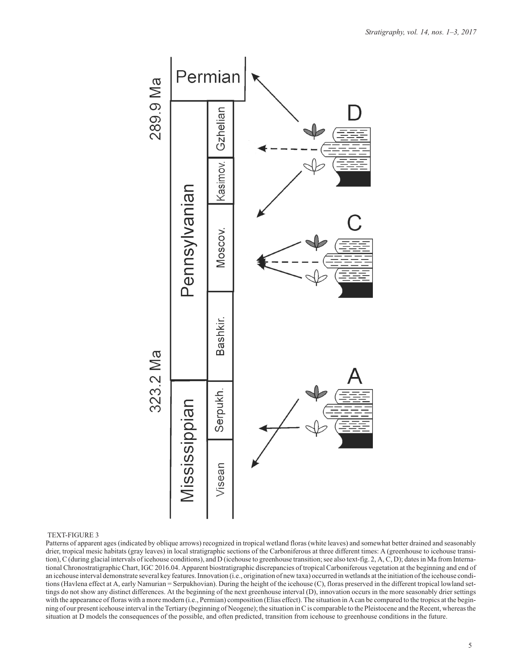

#### TEXT-FIGURE 3

Patterns of apparent ages (indicated by oblique arrows) recognized in tropical wetland floras (white leaves) and somewhat better drained and seasonably drier, tropical mesic habitats (gray leaves) in local stratigraphic sections of the Carboniferous at three different times: A (greenhouse to icehouse transition), C (during glacial intervals of icehouse conditions), and D (icehouse to greenhouse transition; see also text-fig. 2, A, C, D); dates in Ma from International Chronostratigraphic Chart, IGC 2016.04. Apparent biostratigraphic discrepancies of tropical Carboniferous vegetation at the beginning and end of an icehouse interval demonstrate several key features. Innovation (i.e., origination of new taxa) occurred in wetlands at the initiation of the icehouse conditions (Havlena effect at A, early Namurian = Serpukhovian). During the height of the icehouse (C), floras preserved in the different tropical lowland settings do not show any distinct differences. At the beginning of the next greenhouse interval (D), innovation occurs in the more seasonably drier settings with the appearance of floras with a more modern (i.e., Permian) composition (Elias effect). The situation in A can be compared to the tropics at the beginning of our present icehouse interval in the Tertiary (beginning of Neogene); the situation in C is comparable to the Pleistocene and the Recent, whereas the situation at D models the consequences of the possible, and often predicted, transition from icehouse to greenhouse conditions in the future.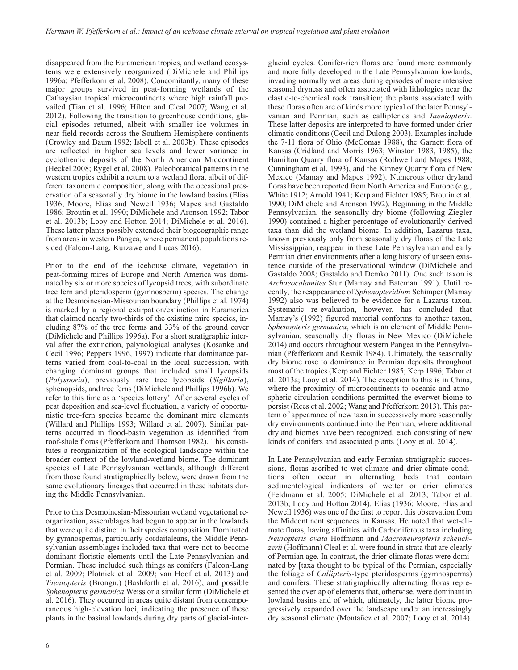disappeared from the Euramerican tropics, and wetland ecosystems were extensively reorganized (DiMichele and Phillips 1996a; Pfefferkorn et al. 2008). Concomitantly, many of these major groups survived in peat-forming wetlands of the Cathaysian tropical microcontinents where high rainfall prevailed (Tian et al. 1996; Hilton and Cleal 2007; Wang et al. 2012). Following the transition to greenhouse conditions, glacial episodes returned, albeit with smaller ice volumes in near-field records across the Southern Hemisphere continents (Crowley and Baum 1992; Isbell et al. 2003b). These episodes are reflected in higher sea levels and lower variance in cyclothemic deposits of the North American Midcontinent (Heckel 2008; Rygel et al. 2008). Paleobotanical patterns in the western tropics exhibit a return to a wetland flora, albeit of different taxonomic composition, along with the occasional preservation of a seasonally dry biome in the lowland basins (Elias 1936; Moore, Elias and Newell 1936; Mapes and Gastaldo 1986; Broutin et al. 1990; DiMichele and Aronson 1992; Tabor et al. 2013b; Looy and Hotton 2014; DiMichele et al. 2016). These latter plants possibly extended their biogeographic range from areas in western Pangea, where permanent populations resided (Falcon-Lang, Kurzawe and Lucas 2016).

Prior to the end of the icehouse climate, vegetation in peat-forming mires of Europe and North America was dominated by six or more species of lycopsid trees, with subordinate tree fern and pteridosperm (gymnosperm) species. The change at the Desmoinesian-Missourian boundary (Phillips et al. 1974) is marked by a regional extirpation/extinction in Euramerica that claimed nearly two-thirds of the existing mire species, including 87% of the tree forms and 33% of the ground cover (DiMichele and Phillips 1996a). For a short stratigraphic interval after the extinction, palynological analyses (Kosanke and Cecil 1996; Peppers 1996, 1997) indicate that dominance patterns varied from coal-to-coal in the local succession, with changing dominant groups that included small lycopsids (*Polysporia*), previously rare tree lycopsids (*Sigillaria*), sphenopsids, and tree ferns (DiMichele and Phillips 1996b). We refer to this time as a 'species lottery'. After several cycles of peat deposition and sea-level fluctuation, a variety of opportunistic tree-fern species became the dominant mire elements (Willard and Phillips 1993; Willard et al. 2007). Similar patterns occurred in flood-basin vegetation as identified from roof-shale floras (Pfefferkorn and Thomson 1982). This constitutes a reorganization of the ecological landscape within the broader context of the lowland-wetland biome. The dominant species of Late Pennsylvanian wetlands, although different from those found stratigraphically below, were drawn from the same evolutionary lineages that occurred in these habitats during the Middle Pennsylvanian.

Prior to this Desmoinesian-Missourian wetland vegetational reorganization, assemblages had begun to appear in the lowlands that were quite distinct in their species composition. Dominated by gymnosperms, particularly cordaitaleans, the Middle Pennsylvanian assemblages included taxa that were not to become dominant floristic elements until the Late Pennsylvanian and Permian. These included such things as conifers (Falcon-Lang et al. 2009; Plotnick et al. 2009; van Hoof et al. 2013) and *Taeniopteris* (Brongn.) (Bashforth et al. 2016), and possible *Sphenopteris germanica* Weiss or a similar form (DiMichele et al. 2016). They occurred in areas quite distant from contemporaneous high-elevation loci, indicating the presence of these plants in the basinal lowlands during dry parts of glacial-interglacial cycles. Conifer-rich floras are found more commonly and more fully developed in the Late Pennsylvanian lowlands, invading normally wet areas during episodes of more intensive seasonal dryness and often associated with lithologies near the clastic-to-chemical rock transition; the plants associated with these floras often are of kinds more typical of the later Pennsylvanian and Permian, such as callipterids and *Taeniopteris*. These latter deposits are interpreted to have formed under drier climatic conditions (Cecil and Dulong 2003). Examples include the 7-11 flora of Ohio (McComas 1988), the Garnett flora of Kansas (Cridland and Morris 1963; Winston 1983, 1985), the Hamilton Quarry flora of Kansas (Rothwell and Mapes 1988; Cunningham et al. 1993), and the Kinney Quarry flora of New Mexico (Mamay and Mapes 1992). Numerous other dryland floras have been reported from North America and Europe (e.g., White 1912; Arnold 1941; Kerp and Fichter 1985; Broutin et al. 1990; DiMichele and Aronson 1992). Beginning in the Middle Pennsylvanian, the seasonally dry biome (following Ziegler 1990) contained a higher percentage of evolutionarily derived taxa than did the wetland biome. In addition, Lazarus taxa, known previously only from seasonally dry floras of the Late Mississippian, reappear in these Late Pennsylvanian and early Permian drier environments after a long history of unseen existence outside of the preservational window (DiMichele and Gastaldo 2008; Gastaldo and Demko 2011). One such taxon is *Archaeocalamites* Stur (Mamay and Bateman 1991). Until recently, the reappearance of *Sphenopteridium* Schimper (Mamay 1992) also was believed to be evidence for a Lazarus taxon. Systematic re-evaluation, however, has concluded that Mamay's (1992) figured material conforms to another taxon, *Sphenopteris germanica*, which is an element of Middle Pennsylvanian, seasonally dry floras in New Mexico (DiMichele 2014) and occurs throughout western Pangea in the Pennsylvanian (Pfefferkorn and Resnik 1984). Ultimately, the seasonally dry biome rose to dominance in Permian deposits throughout most of the tropics (Kerp and Fichter 1985; Kerp 1996; Tabor et al. 2013a; Looy et al. 2014). The exception to this is in China, where the proximity of microcontinents to oceanic and atmospheric circulation conditions permitted the everwet biome to persist (Rees et al. 2002; Wang and Pfefferkorn 2013). This pattern of appearance of new taxa in successively more seasonally dry environments continued into the Permian, where additional dryland biomes have been recognized, each consisting of new kinds of conifers and associated plants (Looy et al. 2014).

In Late Pennsylvanian and early Permian stratigraphic successions, floras ascribed to wet-climate and drier-climate conditions often occur in alternating beds that contain sedimentological indicators of wetter or drier climates (Feldmann et al. 2005; DiMichele et al. 2013; Tabor et al. 2013b; Looy and Hotton 2014). Elias (1936; Moore, Elias and Newell 1936) was one of the first to report this observation from the Midcontinent sequences in Kansas. He noted that wet-climate floras, having affinities with Carboniferous taxa including *Neuropteris ovata* Hoffmann and *Macroneuropteris scheuchzerii* (Hoffmann) Cleal et al. were found in strata that are clearly of Permian age. In contrast, the drier-climate floras were dominated by [taxa thought to be typical of the Permian, especially the foliage of *Callipteris*-type pteridosperms (gymnosperms) and conifers. These stratigraphically alternating floras represented the overlap of elements that, otherwise, were dominant in lowland basins and of which, ultimately, the latter biome progressively expanded over the landscape under an increasingly dry seasonal climate (Montañez et al. 2007; Looy et al. 2014).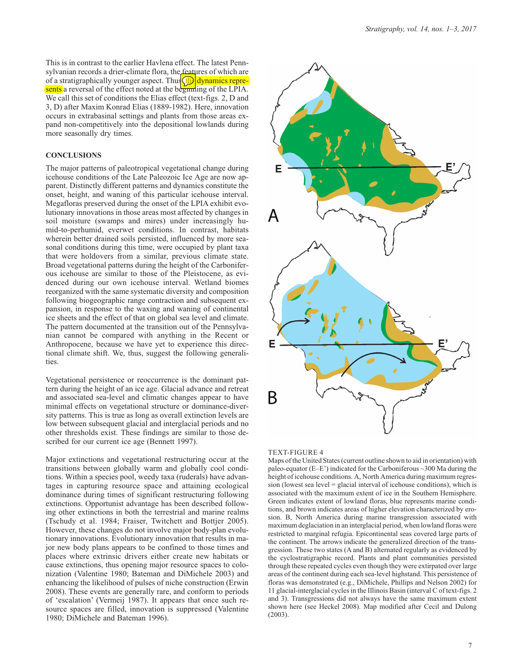This is in contrast to the earlier Havlena effect. The latest Pennsylvanian records a drier-climate flora, the features of which are of a stratigraphically younger aspect. Thus  $\int$  dynamics represents a reversal of the effect noted at the beginning of the LPIA. We call this set of conditions the Elias effect (text-figs. 2, D and 3, D) after Maxim Konrad Elias (1889-1982). Here, innovation occurs in extrabasinal settings and plants from those areas expand non-competitively into the depositional lowlands during more seasonally dry times.

#### **CONCLUSIONS**

The major patterns of paleotropical vegetational change during icehouse conditions of the Late Paleozoic Ice Age are now apparent. Distinctly different patterns and dynamics constitute the onset, height, and waning of this particular icehouse interval. Megafloras preserved during the onset of the LPIA exhibit evolutionary innovations in those areas most affected by changes in soil moisture (swamps and mires) under increasingly humid-to-perhumid, everwet conditions. In contrast, habitats wherein better drained soils persisted, influenced by more seasonal conditions during this time, were occupied by plant taxa that were holdovers from a similar, previous climate state. Broad vegetational patterns during the height of the Carboniferous icehouse are similar to those of the Pleistocene, as evidenced during our own icehouse interval. Wetland biomes reorganized with the same systematic diversity and composition following biogeographic range contraction and subsequent expansion, in response to the waxing and waning of continental ice sheets and the effect of that on global sea level and climate. The pattern documented at the transition out of the Pennsylvanian cannot be compared with anything in the Recent or Anthropocene, because we have yet to experience this directional climate shift. We, thus, suggest the following generalities.

Vegetational persistence or reoccurrence is the dominant pattern during the height of an ice age. Glacial advance and retreat and associated sea-level and climatic changes appear to have minimal effects on vegetational structure or dominance-diversity patterns. This is true as long as overall extinction levels are low between subsequent glacial and interglacial periods and no other thresholds exist. These findings are similar to those described for our current ice age (Bennett 1997).

Major extinctions and vegetational restructuring occur at the transitions between globally warm and globally cool conditions. Within a species pool, weedy taxa (ruderals) have advantages in capturing resource space and attaining ecological dominance during times of significant restructuring following extinctions. Opportunist advantage has been described following other extinctions in both the terrestrial and marine realms (Tschudy et al. 1984; Fraiser, Twitchett and Bottjer 2005). However, these changes do not involve major body-plan evolutionary innovations. Evolutionary innovation that results in major new body plans appears to be confined to those times and places where extrinsic drivers either create new habitats or cause extinctions, thus opening major resource spaces to colonization (Valentine 1980; Bateman and DiMichele 2003) and enhancing the likelihood of pulses of niche construction (Erwin 2008). These events are generally rare, and conform to periods of 'escalation' (Vermeij 1987). It appears that once such resource spaces are filled, innovation is suppressed (Valentine 1980; DiMichele and Bateman 1996).



#### TEXT-FIGURE 4

Maps of the United States (current outline shown to aid in orientation) with paleo-equator (E–E') indicated for the Carboniferous ~300 Ma during the height of icehouse conditions. A, North America during maximum regression (lowest sea level  $=$  glacial interval of icehouse conditions), which is associated with the maximum extent of ice in the Southern Hemisphere. Green indicates extent of lowland floras, blue represents marine conditions, and brown indicates areas of higher elevation characterized by erosion. B, North America during marine transgression associated with maximum deglaciation in an interglacial period, when lowland floras were restricted to marginal refugia. Epicontinental seas covered large parts of the continent. The arrows indicate the generalized direction of the transgression. These two states (A and B) alternated regularly as evidenced by the cyclostratigraphic record. Plants and plant communities persisted through these repeated cycles even though they were extirpated over large areas of the continent during each sea-level highstand. This persistence of floras was demonstrated (e.g., DiMichele, Phillips and Nelson 2002) for 11 glacial-interglacial cycles in the Illinois Basin (interval C of text-figs. 2 and 3). Transgressions did not always have the same maximum extent shown here (see Heckel 2008). Map modified after Cecil and Dulong (2003).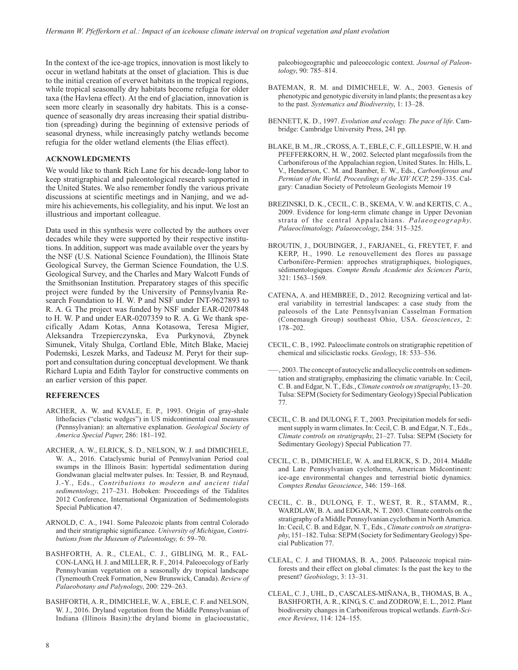In the context of the ice-age tropics, innovation is most likely to occur in wetland habitats at the onset of glaciation. This is due to the initial creation of everwet habitats in the tropical regions, while tropical seasonally dry habitats become refugia for older taxa (the Havlena effect). At the end of glaciation, innovation is seen more clearly in seasonally dry habitats. This is a consequence of seasonally dry areas increasing their spatial distribution (spreading) during the beginning of extensive periods of seasonal dryness, while increasingly patchy wetlands become refugia for the older wetland elements (the Elias effect).

### **ACKNOWLEDGMENTS**

We would like to thank Rich Lane for his decade-long labor to keep stratigraphical and paleontological research supported in the United States. We also remember fondly the various private discussions at scientific meetings and in Nanjing, and we admire his achievements, his collegiality, and his input. We lost an illustrious and important colleague.

Data used in this synthesis were collected by the authors over decades while they were supported by their respective institutions. In addition, support was made available over the years by the NSF (U.S. National Science Foundation), the Illinois State Geological Survey, the German Science Foundation, the U.S. Geological Survey, and the Charles and Mary Walcott Funds of the Smithsonian Institution. Preparatory stages of this specific project were funded by the University of Pennsylvania Research Foundation to H. W. P and NSF under INT-9627893 to R. A. G. The project was funded by NSF under EAR-0207848 to H. W. P and under EAR-0207359 to R. A. G. We thank specifically Adam Kotas, Anna Kotasowa, Teresa Migier, Aleksandra Trzepierczynska, Eva Purkynová, Zbynek Simunek, Vitaly Shulga, Cortland Eble, Mitch Blake, Maciej Podemski, Leszek Marks, and Tadeusz M. Peryt for their support and consultation during conceptual development. We thank Richard Lupia and Edith Taylor for constructive comments on an earlier version of this paper.

# **REFERENCES**

- ARCHER, A. W. and KVALE, E. P., 1993. Origin of gray-shale lithofacies ("clastic wedges") in US midcontinental coal measures (Pennsylvanian): an alternative explanation. *Geological Society of America Special Paper*, 286: 181–192.
- ARCHER, A. W., ELRICK, S. D., NELSON, W. J. and DIMICHELE, W. A., 2016. Cataclysmic burial of Pennsylvanian Period coal swamps in the Illinois Basin: hypertidal sedimentation during Gondwanan glacial meltwater pulses. In: Tessier, B. and Reynaud, J.-Y., Eds., *Contributions to modern and ancient tidal sedimentology*, 217–231. Hoboken: Proceedings of the Tidalites 2012 Conference, International Organization of Sedimentologists Special Publication 47.
- ARNOLD, C. A., 1941. Some Paleozoic plants from central Colorado and their stratigraphic significance. *University of Michigan*, *Contributions from the Museum of Paleontology,* 6: 59–70.
- BASHFORTH, A. R., CLEAL, C. J., GIBLING, M. R., FAL-CON-LANG, H. J. and MILLER, R. F., 2014. Paleoecology of Early Pennsylvanian vegetation on a seasonally dry tropical landscape (Tynemouth Creek Formation, New Brunswick, Canada). *Review of Palaeobotany and Palynology*, 200: 229–263.
- BASHFORTH, A. R., DIMICHELE, W. A., EBLE, C. F. and NELSON, W. J., 2016. Dryland vegetation from the Middle Pennsylvanian of Indiana (Illinois Basin):the dryland biome in glacioeustatic,

paleobiogeographic and paleoecologic context. *Journal of Paleontology*, 90: 785–814.

- BATEMAN, R. M. and DIMICHELE, W. A., 2003. Genesis of phenotypic and genotypic diversity in land plants; the present as a key to the past. *Systematics and Biodiversity*, 1: 13–28.
- BENNETT, K. D., 1997. *Evolution and ecology. The pace of life*. Cambridge: Cambridge University Press, 241 pp.
- BLAKE, B. M., JR., CROSS, A. T., EBLE, C. F., GILLESPIE, W. H. and PFEFFERKORN, H. W., 2002. Selected plant megafossils from the Carboniferous of the Appalachian region, United States. In: Hills, L. V., Henderson, C. M. and Bamber, E. W., Eds., *Carboniferous and Permian of the World, Proceedings of the XIV ICCP,* 259–335. Calgary: Canadian Society of Petroleum Geologists Memoir 19
- BREZINSKI, D. K., CECIL, C. B., SKEMA, V. W. and KERTIS, C. A., 2009. Evidence for long-term climate change in Upper Devonian strata of the central Appalachians. *Palaeogeography, Palaeoclimatology, Palaeoecology*, 284: 315–325.
- BROUTIN, J., DOUBINGER, J., FARJANEL, G., FREYTET, F. and KERP, H., 1990. Le renouvellement des flores au passage Carbonifère-Permien: approches stratigraphiques, biologiques, sédimentologiques. *Compte Rendu Academie des Sciences Paris*, 321: 1563–1569.
- CATENA, A. and HEMBREE, D., 2012. Recognizing vertical and lateral variability in terrestrial landscapes: a case study from the paleosols of the Late Pennsylvanian Casselman Formation (Conemaugh Group) southeast Ohio, USA. *Geosciences*, 2: 178–202.
- CECIL, C. B., 1992. Paleoclimate controls on stratigraphic repetition of chemical and siliciclastic rocks. *Geology*, 18: 533–536.
- –––, 2003. The concept of autocyclic and allocyclic controls on sedimentation and stratigraphy, emphasizing the climatic variable. In: Cecil, C. B. and Edgar, N. T., Eds.,*Climate controls on stratigraphy*, 13–20. Tulsa: SEPM (Society for Sedimentary Geology) Special Publication 77.
- CECIL, C. B. and DULONG, F. T., 2003. Precipitation models for sediment supply in warm climates. In: Cecil, C. B. and Edgar, N. T., Eds., *Climate controls on stratigraphy*, 21–27. Tulsa: SEPM (Society for Sedimentary Geology) Special Publication 77.
- CECIL, C. B., DIMICHELE, W. A. and ELRICK, S. D., 2014. Middle and Late Pennsylvanian cyclothems, American Midcontinent: ice-age environmental changes and terrestrial biotic dynamics. *Comptes Rendus Geoscience*, 346: 159–168.
- CECIL, C. B., DULONG, F. T., WEST, R. R., STAMM, R., WARDLAW, B. A. and EDGAR, N. T. 2003. Climate controls on the stratigraphy of a Middle Pennsylvanian cyclothem in North America. In: Cecil, C. B. and Edgar, N. T., Eds., *Climate controls on stratigraphy*, 151–182. Tulsa: SEPM (Society for Sedimentary Geology) Special Publication 77.
- CLEAL, C. J. and THOMAS, B. A., 2005. Palaeozoic tropical rainforests and their effect on global climates: Is the past the key to the present? *Geobiology*, 3: 13–31.
- CLEAL, C. J., UHL, D., CASCALES-MIÑANA, B., THOMAS, B. A., BASHFORTH, A. R., KING, S. C. and ZODROW, E. L., 2012. Plant biodiversity changes in Carboniferous tropical wetlands. *Earth-Science Reviews*, 114: 124–155.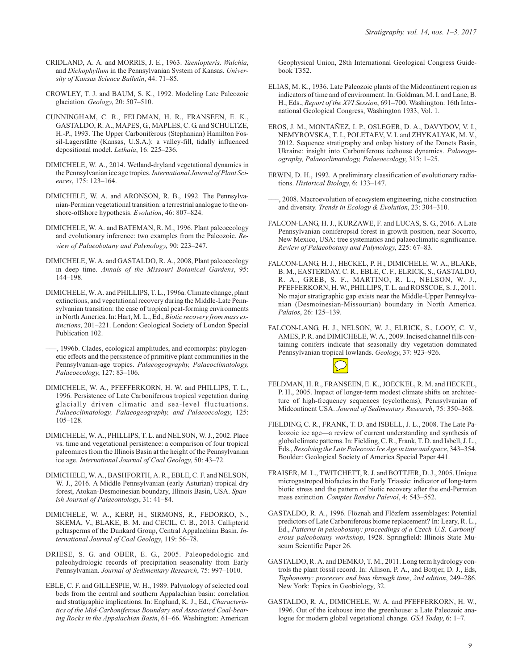- CRIDLAND, A. A. and MORRIS, J. E., 1963. *Taeniopteris, Walchia*, and *Dichophyllum* in the Pennsylvanian System of Kansas. *University of Kansas Science Bulletin*, 44: 71–85.
- CROWLEY, T. J. and BAUM, S. K., 1992. Modeling Late Paleozoic glaciation. *Geology*, 20: 507–510.
- CUNNINGHAM, C. R., FELDMAN, H. R., FRANSEEN, E. K., GASTALDO, R. A., MAPES, G., MAPLES, C. G. and SCHULTZE, H.-P., 1993. The Upper Carboniferous (Stephanian) Hamilton Fossil-Lagerstätte (Kansas, U.S.A.): a valley-fill, tidally influenced depositional model. *Lethaia*, 16: 225–236.
- DIMICHELE, W. A., 2014. Wetland-dryland vegetational dynamics in the Pennsylvanian ice age tropics.*International Journal of Plant Sciences*, 175: 123–164.
- DIMICHELE, W. A. and ARONSON, R. B., 1992. The Pennsylvanian-Permian vegetational transition: a terrestrial analogue to the onshore-offshore hypothesis. *Evolution*, 46: 807–824.
- DIMICHELE, W. A. and BATEMAN, R. M., 1996. Plant paleoecology and evolutionary inference: two examples from the Paleozoic. *Review of Palaeobotany and Palynology*, 90: 223–247.
- DIMICHELE, W. A. and GASTALDO, R. A., 2008, Plant paleoecology in deep time. *Annals of the Missouri Botanical Gardens*, 95: 144–198.
- DIMICHELE, W. A. and PHILLIPS, T. L., 1996a. Climate change, plant extinctions, and vegetational recovery during the Middle-Late Pennsylvanian transition: the case of tropical peat-forming environments in North America. In: Hart, M. L., Ed., *Biotic recovery from mass extinctions*, 201–221. London: Geological Society of London Special Publication 102.
- –––, 1996b. Clades, ecological amplitudes, and ecomorphs: phylogenetic effects and the persistence of primitive plant communities in the Pennsylvanian-age tropics. *Palaeogeography, Palaeoclimatology, Palaeoecology*, 127: 83–106.
- DIMICHELE, W. A., PFEFFERKORN, H. W. and PHILLIPS, T. L., 1996. Persistence of Late Carboniferous tropical vegetation during glacially driven climatic and sea-level fluctuations. *Palaeoclimatology, Palaeogeography, and Palaeoecology*, 125: 105–128.
- DIMICHELE, W. A., PHILLIPS, T. L. and NELSON, W. J., 2002. Place vs. time and vegetational persistence: a comparison of four tropical paleomires from the Illinois Basin at the height of the Pennsylvanian ice age. *International Journal of Coal Geology*, 50: 43–72.
- DIMICHELE, W. A., BASHFORTH, A. R., EBLE, C. F. and NELSON, W. J., 2016. A Middle Pennsylvanian (early Asturian) tropical dry forest, Atokan-Desmoinesian boundary, Illinois Basin, USA. *Spanish Journal of Palaeontology*, 31: 41–84.
- DIMICHELE, W. A., KERP, H., SIRMONS, R., FEDORKO, N., SKEMA, V., BLAKE, B. M. and CECIL, C. B., 2013. Callipterid peltasperms of the Dunkard Group, Central Appalachian Basin. *International Journal of Coal Geology*, 119: 56–78.
- DRIESE, S. G. and OBER, E. G., 2005. Paleopedologic and paleohydrologic records of precipitation seasonality from Early Pennsylvanian. *Journal of Sedimentary Research*, 75: 997–1010.
- EBLE, C. F. and GILLESPIE, W. H., 1989. Palynology of selected coal beds from the central and southern Appalachian basin: correlation and stratigraphic implications. In: Englund, K. J., Ed., *Characteristics of the Mid-Carboniferous Boundary and Associated Coal-bearing Rocks in the Appalachian Basin*, 61–66. Washington: American

Geophysical Union, 28th International Geological Congress Guidebook T352.

- ELIAS, M. K., 1936. Late Paleozoic plants of the Midcontinent region as indicators of time and of environment. In: Goldman, M. I. and Lane, B. H., Eds., *Report of the XVI Session*, 691–700. Washington: 16th International Geological Congress, Washington 1933, Vol. 1.
- EROS, J. M., MONTAÑEZ, I. P., OSLEGER, D. A., DAVYDOV, V. I., NEMYROVSKA, T. I., POLETAEV, V. I. and ZHYKALYAK, M. V., 2012. Sequence stratigraphy and onlap history of the Donets Basin, Ukraine: insight into Carboniferous icehouse dynamics. *Palaeogeography, Palaeoclimatology, Palaeoecology*, 313: 1–25.
- ERWIN, D. H., 1992. A preliminary classification of evolutionary radiations. *Historical Biology*, 6: 133–147.
- –––, 2008. Macroevolution of ecosystem engineering, niche construction and diversity. *Trends in Ecology & Evolution*, 23: 304–310.
- FALCON-LANG, H. J., KURZAWE, F. and LUCAS, S. G., 2016. A Late Pennsylvanian coniferopsid forest in growth position, near Socorro, New Mexico, USA: tree systematics and palaeoclimatic significance. *Review of Palaeobotany and Palynology*, 225: 67–83.
- FALCON-LANG, H. J., HECKEL, P. H., DIMICHELE, W. A., BLAKE, B. M., EASTERDAY, C. R., EBLE, C. F., ELRICK, S., GASTALDO, R. A., GREB, S. F., MARTINO, R. L., NELSON, W. J., PFEFFERKORN, H. W., PHILLIPS, T. L. and ROSSCOE, S. J., 2011. No major stratigraphic gap exists near the Middle-Upper Pennsylvanian (Desmoinesian-Missourian) boundary in North America. *Palaios*, 26: 125–139.
- FALCON-LANG, H. J., NELSON, W. J., ELRICK, S., LOOY, C. V., AMES, P. R. and DIMICHELE, W. A., 2009. Incised channel fills containing conifers indicate that seasonally dry vegetation dominated Pennsylvanian tropical lowlands. *Geology*, 37: 923–926.



- FELDMAN, H. R., FRANSEEN, E. K., JOECKEL, R. M. and HECKEL, P. H., 2005. Impact of longer-term modest climate shifts on architecture of high-frequency sequences (cyclothems), Pennsylvanian of Midcontinent USA. *Journal of Sedimentary Research*, 75: 350–368.
- FIELDING, C. R., FRANK, T. D. and ISBELL, J. L., 2008. The Late Paleozoic ice age—a review of current understanding and synthesis of global climate patterns. In: Fielding, C. R., Frank, T. D. and Isbell, J. L., Eds., *Resolving the Late Paleozoic Ice Age in time and space*, 343–354. Boulder: Geological Society of America Special Paper 441.
- FRAISER, M. L., TWITCHETT, R. J. and BOTTJER, D. J., 2005. Unique microgastropod biofacies in the Early Triassic: indicator of long-term biotic stress and the pattern of biotic recovery after the end-Permian mass extinction. *Comptes Rendus Palevol*, 4: 543–552.
- GASTALDO, R. A., 1996. Flöznah and Flözfern assemblages: Potential predictors of Late Carboniferous biome replacement? In: Leary, R. L., Ed., *Patterns in paleobotany: proceedings of a Czech-U.S. Carboniferous paleobotany workshop*, 1928. Springfield: Illinois State Museum Scientific Paper 26.
- GASTALDO, R. A. and DEMKO, T. M., 2011. Long term hydrology controls the plant fossil record. In: Allison, P. A., and Bottjer, D. J., Eds, *Taphonomy: processes and bias through time*, *2nd edition*, 249–286. New York: Topics in Geobiology, 32.
- GASTALDO, R. A., DIMICHELE, W. A. and PFEFFERKORN, H. W., 1996. Out of the icehouse into the greenhouse: a Late Paleozoic analogue for modern global vegetational change. *GSA Today*, 6: 1–7.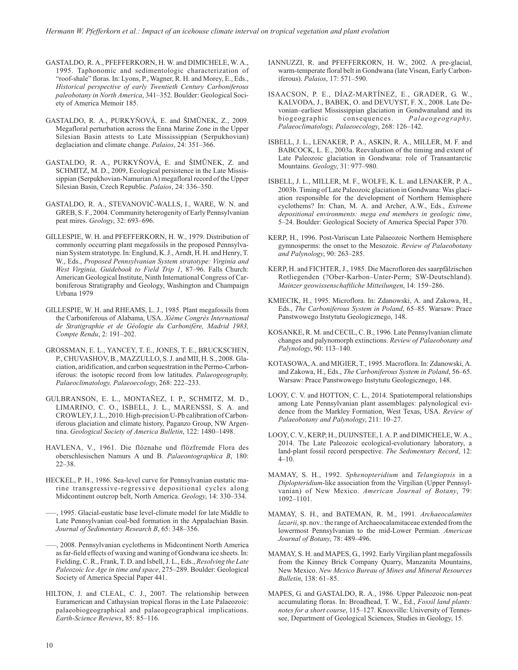- GASTALDO, R. A., PFEFFERKORN, H. W. and DIMICHELE, W. A., 1995. Taphonomic and sedimentologic characterization of "roof-shale" floras. In: Lyons, P., Wagner, R. H. and Morey, E., Eds., *Historical perspective of early Twentieth Century Carboniferous paleobotany in North America*, 341–352. Boulder: Geological Society of America Memoir 185.
- GASTALDO, R. A., PURKYŇOVÁ, E. and ŠIMŬNEK, Z., 2009. Megafloral perturbation across the Enna Marine Zone in the Upper Silesian Basin attests to Late Mississippian (Serpukhovian) deglaciation and climate change. *Palaios*, 24: 351–366.
- GASTALDO, R. A., PURKYŇOVÁ, E. and ŠIMŬNEK, Z. and SCHMITZ, M. D., 2009, Ecological persistence in the Late Mississippian (Serpukhovian-Namurian A) megafloral record of the Upper Silesian Basin, Czech Republic. *Palaios*, 24: 336–350.
- GASTALDO, R. A., STEVANOVIĆ-WALLS, I., WARE, W. N. and GREB, S. F., 2004. Community heterogenity of Early Pennsylvanian peat mires. *Geology*, 32: 693–696.
- GILLESPIE, W. H. and PFEFFERKORN, H. W., 1979. Distribution of commonly occurring plant megafossils in the proposed Pennsylvanian System stratotype. In: Englund, K. J., Arndt, H. H. and Henry, T. W., Eds., *Proposed Pennsylvanian System stratotype: Virginia and West Virginia, Guidebook to Field Trip 1*, 87–96. Falls Church: American Geological Institute, Ninth International Congress of Carboniferous Stratigraphy and Geology, Washington and Champaign Urbana 1979
- GILLESPIE, W. H. and RHEAMS, L. J., 1985. Plant megafossils from the Carboniferous of Alabama, USA. *Xième Congrès International de Stratigraphie et de Géologie du Carbonifère, Madrid 1983, Compte Rendu*, 2: 191–202.
- GROSSMAN, E. L., YANCEY, T. E., JONES, T. E., BRUCKSCHEN, P., CHUVASHOV, B., MAZZULLO, S. J. and MII, H. S., 2008. Glaciation, aridification, and carbon sequestration in the Permo-Carboniferous: the isotopic record from low latitudes. *Palaeogeography, Palaeoclimatology, Palaeoecology*, 268: 222–233.
- GULBRANSON, E. L., MONTAÑEZ, I. P., SCHMITZ, M. D., LIMARINO, C. O., ISBELL, J. L., MARENSSI, S. A. and CROWLEY, J. L., 2010. High-precision U-Pb calibration of Carboniferous glaciation and climate history, Paganzo Group, NW Argentina. *Geological Society of America Bulletin*, 122: 1480–1498.
- HAVLENA, V., 1961. Die flöznahe und flözfremde Flora des oberschlesischen Namurs A und B. *Palaeontographica B*, 180: 22–38.
- HECKEL, P. H., 1986. Sea-level curve for Pennsylvanian eustatic marine transgressive-regressive depositional cycles along Midcontinent outcrop belt, North America. *Geology*, 14: 330–334.
- –––, 1995. Glacial-eustatic base level-climate model for late Middle to Late Pennsylvanian coal-bed formation in the Appalachian Basin. *Journal of Sedimentary Research B*, 65: 348–356.
- –––, 2008. Pennsylvanian cyclothems in Midcontinent North America as far-field effects of waxing and waning of Gondwana ice sheets. In: Fielding, C. R., Frank, T. D. and Isbell, J. L., Eds., *Resolving the Late Paleozoic Ice Age in time and space*, 275–289. Boulder: Geological Society of America Special Paper 441.
- HILTON, J. and CLEAL, C. J., 2007. The relationship between Euramerican and Cathaysian tropical floras in the Late Palaeozoic: palaeobiogeographical and palaeogeographical implications. *Earth-Science Reviews*, 85: 85–116.
- IANNUZZI, R. and PFEFFERKORN, H. W., 2002. A pre-glacial, warm-temperate floral belt in Gondwana (late Visean, Early Carboniferous). *Palaios*, 17: 571–590.
- ISAACSON, P. E., DÍAZ-MARTÍNEZ, E., GRADER, G. W., KALVODA, J., BABEK, O. and DEVUYST, F. X., 2008. Late Devonian–earliest Mississippian glaciation in Gondwanaland and its biogeographic consequences. *Palaeogeography, Palaeoclimatology, Palaeoecology*, 268: 126–142.
- ISBELL, J. L., LENAKER, P. A., ASKIN, R. A., MILLER, M. F. and BABCOCK, L. E., 2003a. Reevaluation of the timing and extent of Late Paleozoic glaciation in Gondwana: role of Transantarctic Mountains. *Geology*, 31: 977–980.
- ISBELL, J. L., MILLER, M. F., WOLFE, K. L. and LENAKER, P. A., 2003b. Timing of Late Paleozoic glaciation in Gondwana: Was glaciation responsible for the development of Northern Hemisphere cyclothems? In: Chan, M. A. and Archer, A.W., Eds., *Extreme depositional environments: mega end members in geologic time*, 5–24. Boulder: Geological Society of America Special Paper 370.
- KERP, H., 1996. Post-Variscan Late Palaeozoic Northern Hemisphere gymnosperms: the onset to the Mesozoic. *Review of Palaeobotany and Palynology*, 90: 263–285.
- KERP, H. and FICHTER, J., 1985. Die Macrofloren des saarpfälzischen Rotliegenden (?Ober-Karbon–Unter-Perm; SW-Deutschland). *Mainzer geowissenschaftliche Mitteilungen*, 14: 159–286.
- KMIECIK, H., 1995. Microflora. In: Zdanowski, A. and Zakowa, H., Eds., *The Carboniferous System in Poland*, 65–85. Warsaw: Prace Panstwowego Instytutu Geologicznego, 148.
- KOSANKE, R. M. and CECIL, C. B., 1996. Late Pennsylvanian climate changes and palynomorph extinctions. *Review of Palaeobotany and Palynology*, 90: 113–140.
- KOTASOWA, A. and MIGIER, T., 1995. Macroflora. In: Zdanowski, A. and Zakowa, H., Eds., *The Carboniferous System in Poland*, 56–65. Warsaw: Prace Panstwowego Instytutu Geologicznego, 148.
- LOOY, C. V. and HOTTON, C. L., 2014. Spatiotemporal relationships among Late Pennsylvanian plant assemblages: palynological evidence from the Markley Formation, West Texas, USA. *Review of Palaeobotany and Palynology*, 211: 10–27.
- LOOY, C. V., KERP, H., DUIJNSTEE, I. A. P. and DIMICHELE, W. A., 2014. The Late Paleozoic ecological-evolutionary laboratory, a land-plant fossil record perspective. *The Sedimentary Record*, 12: 4–10.
- MAMAY, S. H., 1992. *Sphenopteridium* and *Telangiopsis* in a *Diplopteridium*-like association from the Virgilian (Upper Pennsylvanian) of New Mexico. *American Journal of Botany*, 79: 1092–1101.
- MAMAY, S. H., and BATEMAN, R. M., 1991. *Archaeocalamites lazarii*, sp. nov.: the range of Archaeocalamitaceae extended from the lowermost Pennsylvanian to the mid-Lower Permian. *American Journal of Botany*, 78: 489–496.
- MAMAY, S. H. and MAPES, G., 1992. Early Virgilian plant megafossils from the Kinney Brick Company Quarry, Manzanita Mountains, New Mexico. *New Mexico Bureau of Mines and Mineral Resources Bulletin*, 138: 61–85.
- MAPES, G. and GASTALDO, R. A., 1986. Upper Paleozoic non-peat accumulating floras. In: Broadhead, T. W., Ed., *Fossil land plants: notes for a short course*, 115–127. Knoxville: University of Tennessee, Department of Geological Sciences, Studies in Geology, 15.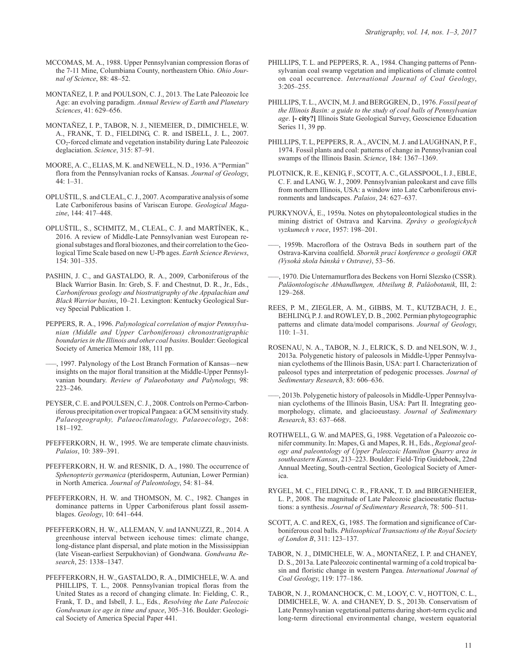- MCCOMAS, M. A., 1988. Upper Pennsylvanian compression floras of the 7-11 Mine, Columbiana County, northeastern Ohio. *Ohio Journal of Science*, 88: 48–52.
- MONTAÑEZ, I. P. and POULSON, C. J., 2013. The Late Paleozoic Ice Age: an evolving paradigm. *Annual Review of Earth and Planetary Sciences*, 41: 629–656.
- MONTAÑEZ, I. P., TABOR, N. J., NIEMEIER, D., DIMICHELE, W. A., FRANK, T. D., FIELDING, C. R. and ISBELL, J. L., 2007. CO2-forced climate and vegetation instability during Late Paleozoic deglaciation. *Science*, 315: 87–91.
- MOORE, A. C., ELIAS, M. K. and NEWELL, N. D., 1936. A"Permian" flora from the Pennsylvanian rocks of Kansas. *Journal of Geology*, 44: 1–31.
- OPLUŠTIL, S. and CLEAL, C. J., 2007. Acomparative analysis of some Late Carboniferous basins of Variscan Europe. *Geological Magazine*, 144: 417–448.
- OPLUŠTIL, S., SCHMITZ, M., CLEAL, C. J. and MARTÍNEK, K., 2016. A review of Middle-Late Pennsylvanian west European regional substages and floral biozones, and their correlation to the Geological Time Scale based on new U-Pb ages. *Earth Science Reviews*, 154: 301–335.
- PASHIN, J. C., and GASTALDO, R. A., 2009, Carboniferous of the Black Warrior Basin. In: Greb, S. F. and Chestnut, D. R., Jr., Eds., *Carboniferous geology and biostratigraphy of the Appalachian and Black Warrior basins*, 10–21. Lexington: Kentucky Geological Survey Special Publication 1.
- PEPPERS, R. A., 1996. *Palynological correlation of major Pennsylvanian (Middle and Upper Carboniferous) chronostratigraphic boundaries in the Illinois and other coal basins*. Boulder: Geological Society of America Memoir 188, 111 pp.
- –––, 1997. Palynology of the Lost Branch Formation of Kansas—new insights on the major floral transition at the Middle-Upper Pennsylvanian boundary. *Review of Palaeobotany and Palynology*, 98: 223–246.
- PEYSER, C. E. and POULSEN, C. J., 2008. Controls on Permo-Carboniferous precipitation over tropical Pangaea: a GCM sensitivity study. *Palaeogeography, Palaeoclimatology, Palaeoecology*, 268: 181–192.
- PFEFFERKORN, H. W., 1995. We are temperate climate chauvinists. *Palaios*, 10: 389–391.
- PFEFFERKORN, H. W. and RESNIK, D. A., 1980. The occurrence of *Sphenopteris germanica* (pteridosperm, Autunian, Lower Permian) in North America. *Journal of Paleontology*, 54: 81–84.
- PFEFFERKORN, H. W. and THOMSON, M. C., 1982. Changes in dominance patterns in Upper Carboniferous plant fossil assemblages. *Geology*, 10: 641–644.
- PFEFFERKORN, H. W., ALLEMAN, V. and IANNUZZI, R., 2014. A greenhouse interval between icehouse times: climate change, long-distance plant dispersal, and plate motion in the Mississippian (late Visean-earliest Serpukhovian) of Gondwana. *Gondwana Research*, 25: 1338–1347.
- PFEFFERKORN, H. W., GASTALDO, R. A., DIMICHELE, W. A. and PHILLIPS, T. L., 2008. Pennsylvanian tropical floras from the United States as a record of changing climate. In: Fielding, C. R., Frank, T. D., and Isbell, J. L., Eds*., Resolving the Late Paleozoic Gondwanan ice age in time and space*, 305–316. Boulder: Geological Society of America Special Paper 441.
- PHILLIPS, T. L. and PEPPERS, R. A., 1984. Changing patterns of Pennsylvanian coal swamp vegetation and implications of climate control on coal occurrence. *International Journal of Coal Geology*, 3:205–255.
- PHILLIPS, T. L., AVCIN, M. J. and BERGGREN, D., 1976. *Fossil peat of the Illinois Basin: a guide to the study of coal balls of Pennsylvanian age*. **[- city?]** Illinois State Geological Survey, Geoscience Education Series 11, 39 pp.
- PHILLIPS, T. L, PEPPERS, R. A., AVCIN, M. J. and LAUGHNAN, P. F., 1974. Fossil plants and coal: patterns of change in Pennsylvanian coal swamps of the Illinois Basin. *Science*, 184: 1367–1369.
- PLOTNICK, R. E., KENIG, F., SCOTT, A. C., GLASSPOOL, I. J., EBLE, C. F. and LANG, W. J., 2009. Pennsylvanian paleokarst and cave fills from northern Illinois, USA: a window into Late Carboniferous environments and landscapes. *Palaios*, 24: 627–637.
- PURKYNOVÁ, E., 1959a. Notes on phytopaleontological studies in the mining district of Ostrava and Karvina. *Zprávy o geologickych vyzkumech v roce*, 1957: 198–201.
- 1959b. Macroflora of the Ostrava Beds in southern part of the Ostrava-Karvina coalfield. *Sborník prací konference o geologii OKR (Vysoká skola bánská v Ostrave)*, 53–56.
- –––, 1970. Die Unternamurflora des Beckens von Horní Slezsko (CSSR). *Paläontologische Abhandlungen, Abteilung B, Paläobotanik*, III, 2: 129–268.
- REES, P. M., ZIEGLER, A. M., GIBBS, M. T., KUTZBACH, J. E., BEHLING, P. J. and ROWLEY, D. B., 2002. Permian phytogeographic patterns and climate data/model comparisons. *Journal of Geology*, 110: 1–31.
- ROSENAU, N. A., TABOR, N. J., ELRICK, S. D. and NELSON, W. J., 2013a. Polygenetic history of paleosols in Middle-Upper Pennsylvanian cyclothems of the Illinois Basin, USA: part I. Characterization of paleosol types and interpretation of pedogenic processes. *Journal of Sedimentary Research*, 83: 606–636.
- –––, 2013b. Polygenetic history of paleosols in Middle-Upper Pennsylvanian cyclothems of the Illinois Basin, USA: Part II. Integrating geomorphology, climate, and glacioeustasy. *Journal of Sedimentary Research*, 83: 637–668.
- ROTHWELL, G. W. and MAPES, G., 1988. Vegetation of a Paleozoic conifer community. In: Mapes, G. and Mapes, R. H., Eds., *Regional geology and paleontology of Upper Paleozoic Hamilton Quarry area in southeastern Kansas*, 213–223. Boulder: Field-Trip Guidebook, 22nd Annual Meeting, South-central Section, Geological Society of America.
- RYGEL, M. C., FIELDING, C. R., FRANK, T. D. and BIRGENHEIER, L. P., 2008. The magnitude of Late Paleozoic glacioeustatic fluctuations: a synthesis. *Journal of Sedimentary Research*, 78: 500–511.
- SCOTT, A. C. and REX, G., 1985. The formation and significance of Carboniferous coal balls. *Philosophical Transactions of the Royal Society of London B*, 311: 123–137.
- TABOR, N. J., DIMICHELE, W. A., MONTAÑEZ, I. P. and CHANEY, D. S., 2013a. Late Paleozoic continental warming of a cold tropical basin and floristic change in western Pangea. *International Journal of Coal Geology*, 119: 177–186.
- TABOR, N. J., ROMANCHOCK, C. M., LOOY, C. V., HOTTON, C. L., DIMICHELE, W. A. and CHANEY, D. S., 2013b. Conservatism of Late Pennsylvanian vegetational patterns during short-term cyclic and long-term directional environmental change, western equatorial